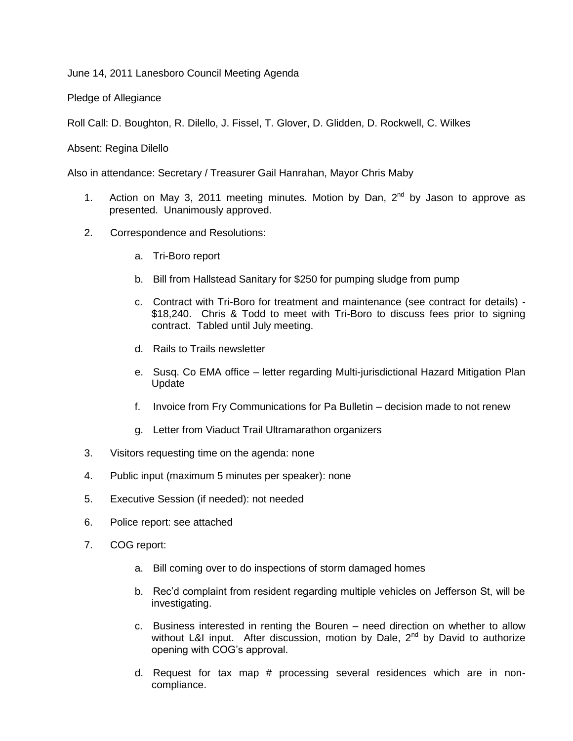June 14, 2011 Lanesboro Council Meeting Agenda

Pledge of Allegiance

Roll Call: D. Boughton, R. Dilello, J. Fissel, T. Glover, D. Glidden, D. Rockwell, C. Wilkes

Absent: Regina Dilello

Also in attendance: Secretary / Treasurer Gail Hanrahan, Mayor Chris Maby

- 1. Action on May 3, 2011 meeting minutes. Motion by Dan,  $2^{nd}$  by Jason to approve as presented. Unanimously approved.
- 2. Correspondence and Resolutions:
	- a. Tri-Boro report
	- b. Bill from Hallstead Sanitary for \$250 for pumping sludge from pump
	- c. Contract with Tri-Boro for treatment and maintenance (see contract for details) \$18,240. Chris & Todd to meet with Tri-Boro to discuss fees prior to signing contract. Tabled until July meeting.
	- d. Rails to Trails newsletter
	- e. Susq. Co EMA office letter regarding Multi-jurisdictional Hazard Mitigation Plan Update
	- f. Invoice from Fry Communications for Pa Bulletin decision made to not renew
	- g. Letter from Viaduct Trail Ultramarathon organizers
- 3. Visitors requesting time on the agenda: none
- 4. Public input (maximum 5 minutes per speaker): none
- 5. Executive Session (if needed): not needed
- 6. Police report: see attached
- 7. COG report:
	- a. Bill coming over to do inspections of storm damaged homes
	- b. Rec'd complaint from resident regarding multiple vehicles on Jefferson St, will be investigating.
	- c. Business interested in renting the Bouren need direction on whether to allow without L&I input. After discussion, motion by Dale,  $2<sup>nd</sup>$  by David to authorize opening with COG's approval.
	- d. Request for tax map # processing several residences which are in noncompliance.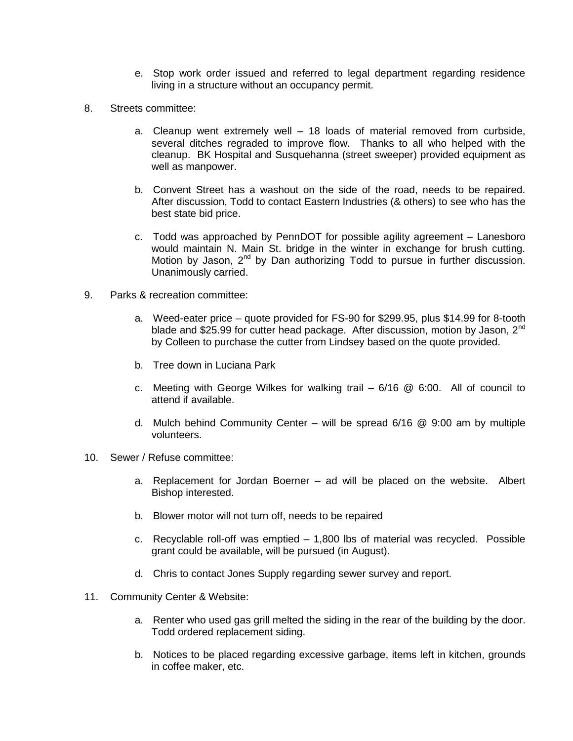- e. Stop work order issued and referred to legal department regarding residence living in a structure without an occupancy permit.
- 8. Streets committee:
	- a. Cleanup went extremely well 18 loads of material removed from curbside, several ditches regraded to improve flow. Thanks to all who helped with the cleanup. BK Hospital and Susquehanna (street sweeper) provided equipment as well as manpower.
	- b. Convent Street has a washout on the side of the road, needs to be repaired. After discussion, Todd to contact Eastern Industries (& others) to see who has the best state bid price.
	- c. Todd was approached by PennDOT for possible agility agreement Lanesboro would maintain N. Main St. bridge in the winter in exchange for brush cutting. Motion by Jason, 2<sup>nd</sup> by Dan authorizing Todd to pursue in further discussion. Unanimously carried.
- 9. Parks & recreation committee:
	- a. Weed-eater price quote provided for FS-90 for \$299.95, plus \$14.99 for 8-tooth blade and \$25.99 for cutter head package. After discussion, motion by Jason,  $2^{nd}$ by Colleen to purchase the cutter from Lindsey based on the quote provided.
	- b. Tree down in Luciana Park
	- c. Meeting with George Wilkes for walking trail  $-6/16$  @ 6:00. All of council to attend if available.
	- d. Mulch behind Community Center will be spread  $6/16 \& 9:00$  am by multiple volunteers.
- 10. Sewer / Refuse committee:
	- a. Replacement for Jordan Boerner ad will be placed on the website. Albert Bishop interested.
	- b. Blower motor will not turn off, needs to be repaired
	- c. Recyclable roll-off was emptied 1,800 lbs of material was recycled. Possible grant could be available, will be pursued (in August).
	- d. Chris to contact Jones Supply regarding sewer survey and report.
- 11. Community Center & Website:
	- a. Renter who used gas grill melted the siding in the rear of the building by the door. Todd ordered replacement siding.
	- b. Notices to be placed regarding excessive garbage, items left in kitchen, grounds in coffee maker, etc.